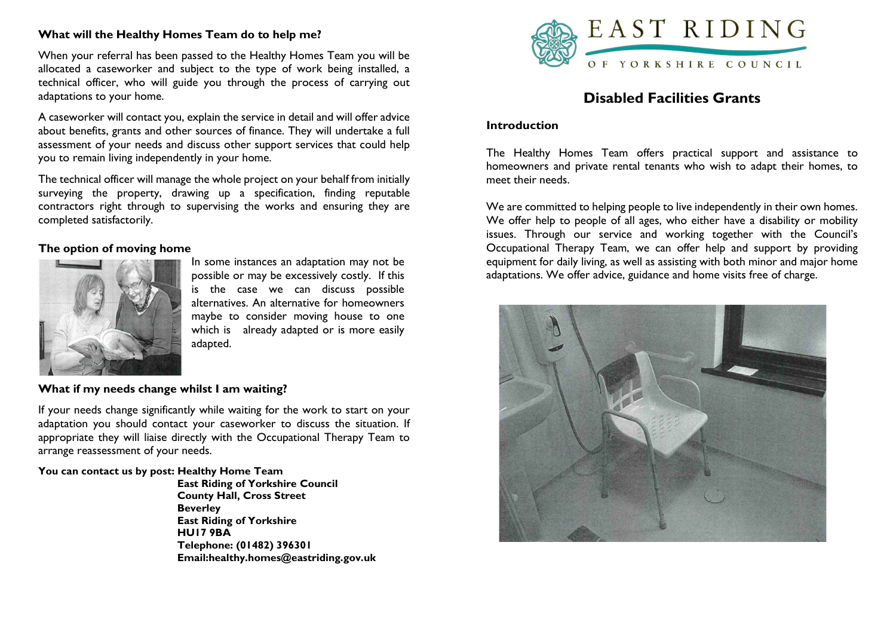# What will the Healthy Homes Team do to help me?

When your referral has been passed to the Healthy Homes Team you will be allocated a caseworker and subject to the type of work being installed, a technical officer, who will guide you through the process of carrying out adaptations to your home.

A caseworker will contact you, explain the service in detail and will offer advice about benefits, grants and other sources of finance. They will undertake a full assessment of your needs and discuss other support services that could help you to remain living independently in your home.

The technical officer will manage the whole project on your behalf from initially surveying the property, drawing up a specification, finding reputable contractors right through to supervising the works and ensuring they are completed satisfactorily.

### The option of moving home



In some instances an adaptation may not be possible or may be excessively costly. If this is the case we can discuss possible alternatives. An alternative for homeowners maybe to consider moving house to one which is already adapted or is more easily adapted.

## What if my needs change whilst I am waiting?

If your needs change significantly while waiting for the work to start on your adaptation you should contact your caseworker to discuss the situation. If appropriate they will liaise directly with the Occupational Therapy Team to arrange reassessment of your needs. Ĩ

### You can contact us by post: Healthy Home Team

 East Riding of Yorkshire Council County Hall, Cross Street **Beverley**  East Riding of Yorkshire HU17 9BA Telephone: (01482) 396301 Email:healthy.homes@eastriding.gov.uk



# Disabled Facilities Grants

### **Introduction**

The Healthy Homes Team offers practical support and assistance to homeowners and private rental tenants who wish to adapt their homes, to meet their needs.

We are committed to helping people to live independently in their own homes. We offer help to people of all ages, who either have a disability or mobility issues. Through our service and working together with the Council's Occupational Therapy Team, we can offer help and support by providing equipment for daily living, as well as assisting with both minor and major home adaptations. We offer advice, guidance and home visits free of charge.